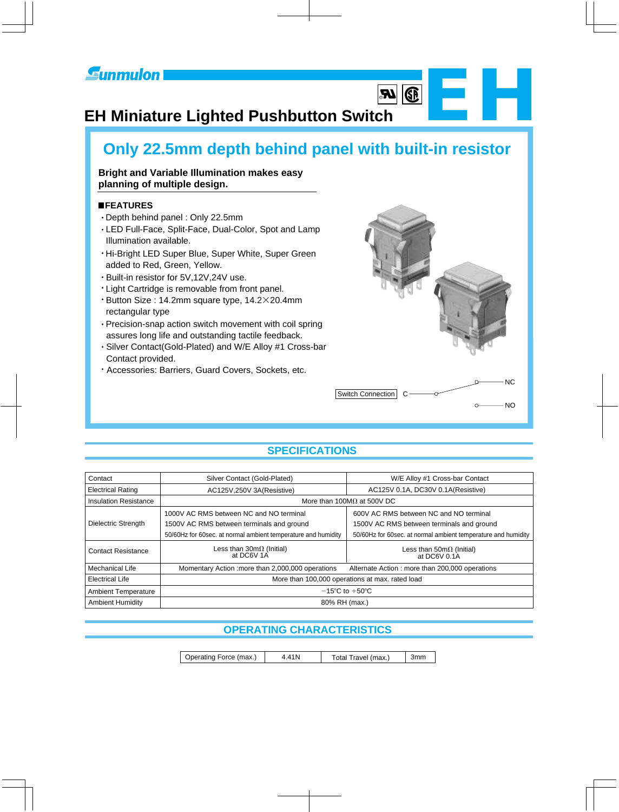## **Eunmulon**

# EHR IN THE REAL PROPERTY. **EH Miniature Lighted Pushbutton Switch**

## **Only 22.5mm depth behind panel with built-in resistor**

## **Bright and Variable Illumination makes easy planning of multiple design.**

## **FEATURES**

- Depth behind panel : Only 22.5mm
- LED Full-Face, Split-Face, Dual-Color, Spot and Lamp Illumination available.
- Hi-Bright LED Super Blue, Super White, Super Green added to Red, Green, Yellow.
- Built-in resistor for 5V,12V,24V use.
- Light Cartridge is removable from front panel.
- $\cdot$  Button Size : 14.2mm square type, 14.2 $\times$ 20.4mm rectangular type
- assures long life and outstanding tactile feedback. Precision-snap action switch movement with coil spring
- Silver Contact(Gold-Plated) and W/E Alloy #1 Cross-bar Contact provided.
- Accessories: Barriers, Guard Covers, Sockets, etc.



**B** 

## **SPECIFICATIONS**

| Contact                      | Silver Contact (Gold-Plated)                                  | W/E Alloy #1 Cross-bar Contact                                |  |  |  |
|------------------------------|---------------------------------------------------------------|---------------------------------------------------------------|--|--|--|
| <b>Electrical Rating</b>     | AC125V,250V 3A(Resistive)                                     | AC125V 0.1A, DC30V 0.1A(Resistive)                            |  |  |  |
| <b>Insulation Resistance</b> | More than 100M $\Omega$ at 500V DC                            |                                                               |  |  |  |
|                              | 1000V AC RMS between NC and NO terminal                       | 600V AC RMS between NC and NO terminal                        |  |  |  |
| Dielectric Strength          | 1500V AC RMS between terminals and ground                     | 1500V AC RMS between terminals and ground                     |  |  |  |
|                              | 50/60Hz for 60sec. at normal ambient temperature and humidity | 50/60Hz for 60sec. at normal ambient temperature and humidity |  |  |  |
| <b>Contact Resistance</b>    | Less than $30m\Omega$ (Initial)<br>at DC6V 1A                 | Less than $50 \text{m}\Omega$ (Initial)<br>at DC6V 0.1A       |  |  |  |
| Mechanical Life              | Momentary Action : more than 2,000,000 operations             | Alternate Action: more than 200,000 operations                |  |  |  |
| <b>Electrical Life</b>       |                                                               | More than 100,000 operations at max. rated load               |  |  |  |
| <b>Ambient Temperature</b>   |                                                               | $-15^{\circ}$ C to $+50^{\circ}$ C                            |  |  |  |
| <b>Ambient Humidity</b>      | 80% RH (max.)                                                 |                                                               |  |  |  |

## **OPERATING CHARACTERISTICS**

 Operating Force (max.) 4.41N Total Travel (max.) 3mm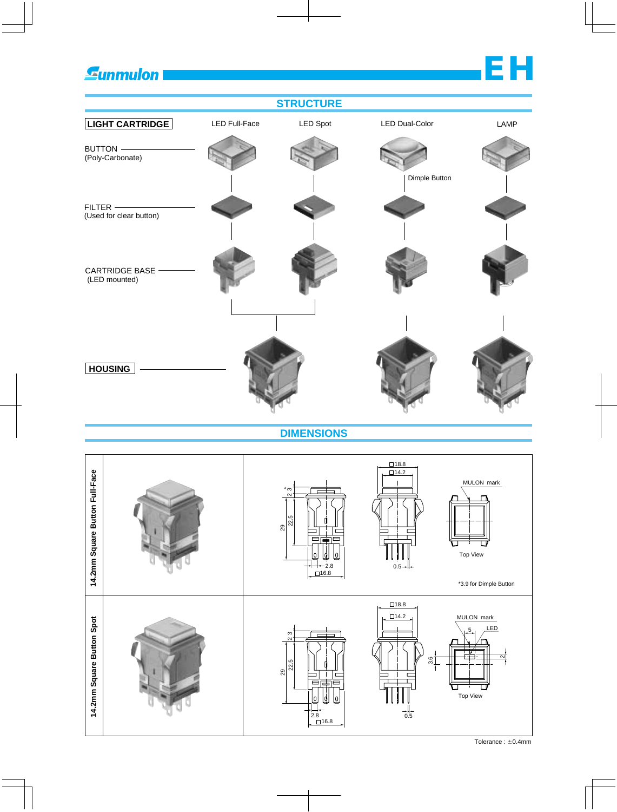**Gunmulon** 

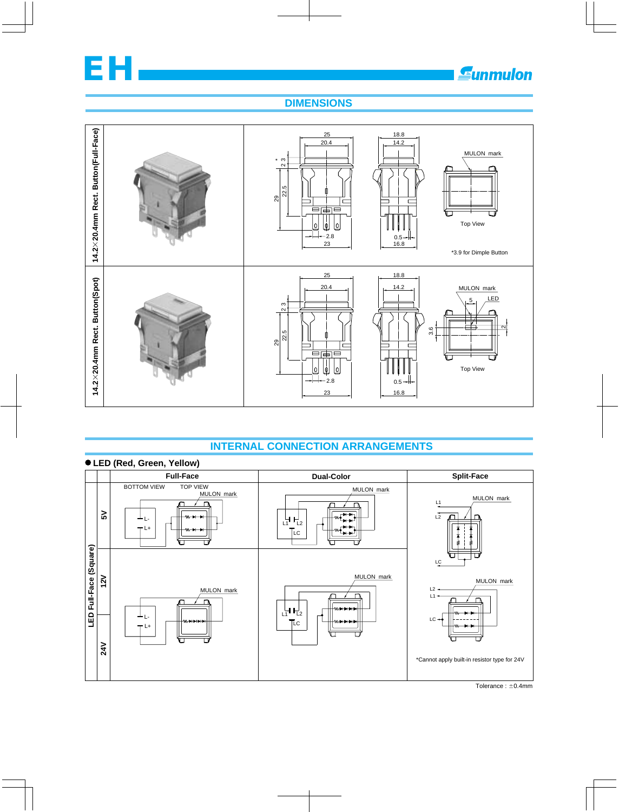

## **DIMENSIONS**



## **INTERNAL CONNECTION ARRANGEMENTS**



Tolerance:  $\pm$ 0.4mm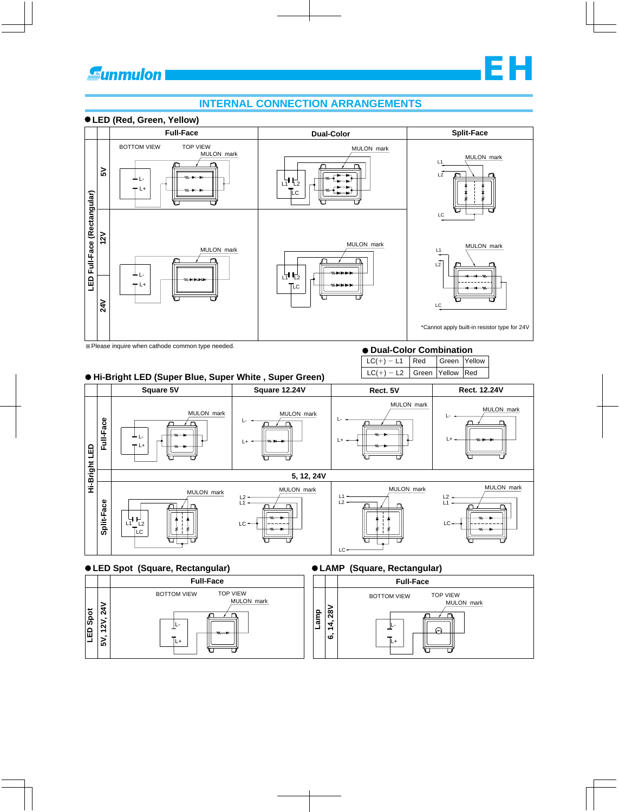

**EH**

MULON mark

## **LED (Red, Green, Yellow)**





## **LED Spot (Square, Rectangular) LAMP (Square, Rectangular)**

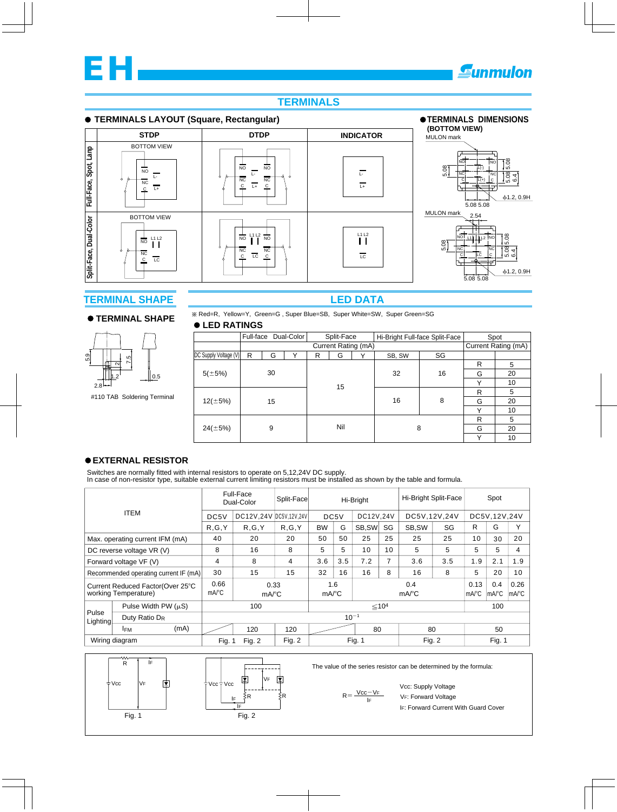

## **TERMINALS**

### **TERMINALS LAYOUT (Square, Rectangular)**



## **TERMINAL SHAPE**

#### **TERMINAL SHAPE**



#110 TAB Soldering Terminal

## **LED DATA**

Red=R, Yellow=Y, Green=G , Super Blue=SB, Super White=SW, Super Green=SG

## **LED RATINGS**

|                       | Full-face |   | Dual-Color |     | Split-Face          |    | Hi-Bright Full-face Split-Face |              | Spot                |    |  |
|-----------------------|-----------|---|------------|-----|---------------------|----|--------------------------------|--------------|---------------------|----|--|
|                       |           |   |            |     | Current Rating (mA) |    |                                |              | Current Rating (mA) |    |  |
| DC Supply Voltage (V) | R         | G | Y          | R   | G                   | Υ  | SB, SW                         | SG           |                     |    |  |
|                       |           |   |            |     |                     |    |                                |              | R                   | 5  |  |
| $5(\pm 5\%)$          | 30        |   |            |     |                     | 32 | 16                             | G            | 20                  |    |  |
|                       |           |   | 15         |     |                     |    |                                | $\checkmark$ | 10                  |    |  |
|                       |           |   |            |     | 16                  | 8  | R                              | 5            |                     |    |  |
| $12(\pm 5\%)$         | 15        | G |            |     |                     |    | 20                             |              |                     |    |  |
|                       |           |   |            |     |                     |    |                                |              | $\checkmark$        | 10 |  |
|                       |           |   |            | Nil |                     | 8  |                                | R            | 5                   |    |  |
| $24(\pm 5\%)$         |           | 9 |            |     |                     |    |                                | G            | 20                  |    |  |
|                       |           |   |            |     |                     |    |                                |              | $\checkmark$        | 10 |  |

#### **EXTERNAL RESISTOR**

Switches are normally fitted with internal resistors to operate on 5,12,24V DC supply. In case of non-resistor type, suitable external current limiting resistors must be installed as shown by the table and formula.

|                                                           |                                       | Full-Face<br>Dual-Color |                             | Split-Face             | Hi-Bright                  |               |                            | Hi-Bright Split-Face |               | Spot                   |                                                        |                |     |    |
|-----------------------------------------------------------|---------------------------------------|-------------------------|-----------------------------|------------------------|----------------------------|---------------|----------------------------|----------------------|---------------|------------------------|--------------------------------------------------------|----------------|-----|----|
|                                                           | <b>ITEM</b>                           |                         | DC5V                        | DC12V.24V DC5V.12V.24V |                            | DC5V          |                            | DC12V.24V            |               | DC5V.12V.24V           |                                                        | DC5V, 12V, 24V |     |    |
|                                                           |                                       |                         | R, G, Y                     | R, G, Y                | R, G, Y                    | <b>BW</b>     | G                          | SB, SW               | SG            | SB.SW                  | SG                                                     | R              | G   | Υ  |
|                                                           | Max. operating current IFM (mA)       |                         | 40                          | 20                     | 20                         | 50            | 50                         | 25                   | 25            | 25                     | 25                                                     | 10             | 30  | 20 |
| DC reverse voltage VR (V)                                 |                                       | 8                       | 16                          | 8                      | 5                          | 5             | 10                         | 10                   | 5             | 5                      | 5                                                      | 5              | 4   |    |
| Forward voltage VF (V)                                    |                                       | 4                       | 8                           | 4                      | 3.6                        | 3.5           | 7.2                        |                      | 3.6           | 3.5                    | 1.9                                                    | 2.1            | 1.9 |    |
|                                                           | Recommended operating current IF (mA) |                         | 30                          | 15                     | 15                         | 32            | 16                         | 16                   | 8             | 16                     | 8                                                      | 5              | 20  | 10 |
| Current Reduced Factor (Over 25°C<br>working Temperature) |                                       | 0.66<br>mA/°C           | 0.33<br>$mA$ <sup>°</sup> C |                        | 1.6<br>$mA$ <sup>o</sup> C |               | 0.4<br>$mA$ <sup>°</sup> C |                      | 0.13<br>mA/°C | 0.4<br>$Im A^{\circ}C$ | 0.26<br>$\mathsf{Im} \mathsf{A} \mathsf{P} \mathsf{C}$ |                |     |    |
| Pulse Width PW $(\mu S)$                                  |                                       |                         | 100                         |                        |                            | $\leq 104$    |                            |                      |               | 100                    |                                                        |                |     |    |
| Pulse<br>Lighting                                         | Duty Ratio D <sub>R</sub>             |                         |                             | $10^{-1}$              |                            |               |                            |                      |               |                        |                                                        |                |     |    |
|                                                           | <b>IFM</b>                            | (mA)                    |                             | 120                    | 120                        |               |                            | 80                   |               | 80                     |                                                        |                | 50  |    |
|                                                           | Wiring diagram                        |                         | Fig. 1                      | Fig. 2                 | Fig. $2$                   | <b>Fig. 1</b> |                            | Fig. 2               |               | Fig. 1                 |                                                        |                |     |    |



The value of the series resistor can be determined by the formula:

 $R = \frac{Vcc - VF}{I}$ IF

IF: Forward Current With Guard Cover VF: Forward Voltage Vcc: Supply Voltage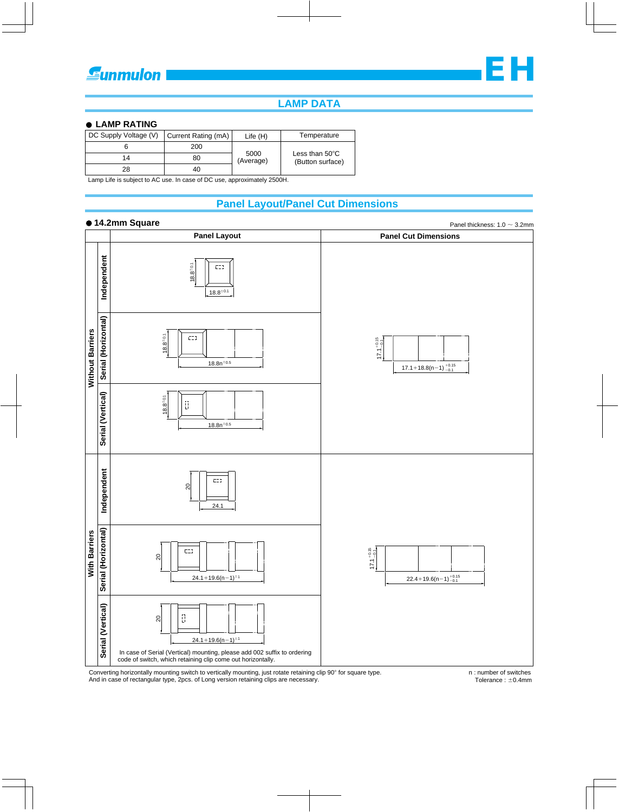

## **LAMP DATA**

#### **LAMP RATING**

| DC Supply Voltage (V)<br>Current Rating (mA) |     | Life $(H)$        | Temperature                                  |  |  |
|----------------------------------------------|-----|-------------------|----------------------------------------------|--|--|
|                                              | 200 |                   |                                              |  |  |
| 14                                           | 80  | 5000<br>(Average) | Less than $50^{\circ}$ C<br>(Button surface) |  |  |
| 28                                           | 40  |                   |                                              |  |  |

Lamp Life is subject to AC use. In case of DC use, approximately 2500H.

## **Panel Layout/Panel Cut Dimensions**

#### **14.2mm Square**



Converting horizontally mounting switch to vertically mounting, just rotate retaining clip 90° for square type.<br>And in case of rectangular type, 2pcs. of Long version retaining clips are necessary.

n : number of switches Tolerance :  $\pm$ 0.4mm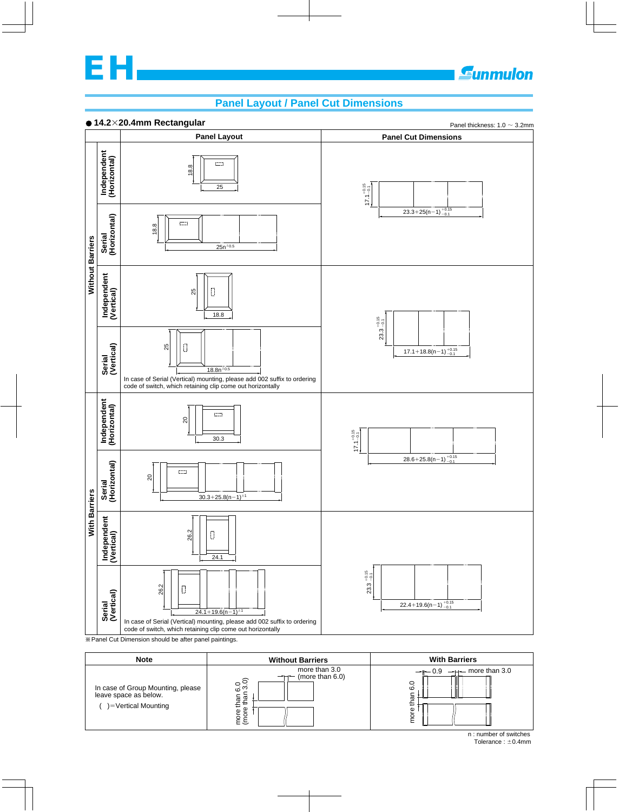

## Sunmulon

## **Panel Layout / Panel Cut Dimensions**



**EXAMPLE CUTA Dimension should be after panel paintings.** 

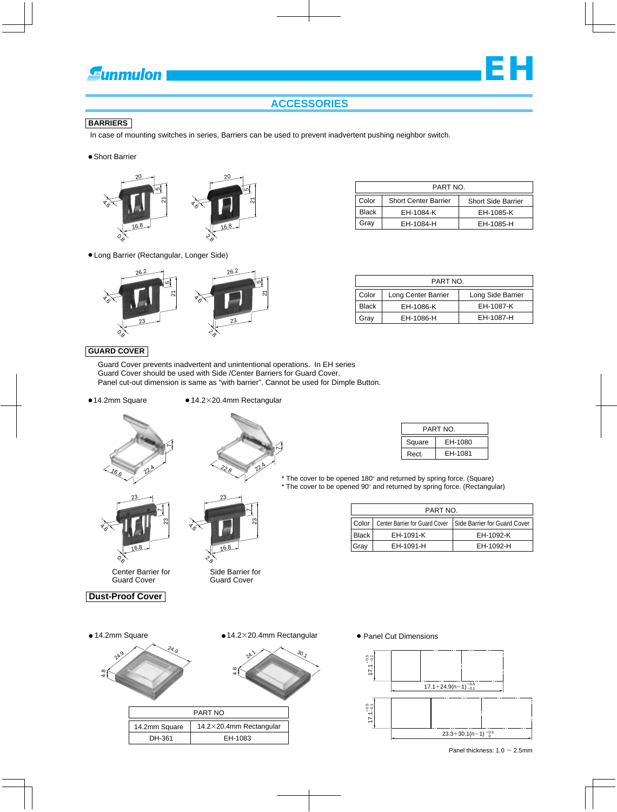## **Eunmulon**



## **BARRIERS**

In case of mounting switches in series, Barriers can be used to prevent inadvertent pushing neighbor switch.

**• Short Barrier** 



Long Barrier (Rectangular, Longer Side)



| PART NO. |                             |                           |  |  |  |
|----------|-----------------------------|---------------------------|--|--|--|
| Color    | <b>Short Center Barrier</b> | <b>Short Side Barrier</b> |  |  |  |
| Black    | EH-1084-K                   | EH-1085-K                 |  |  |  |
| Grav     | EH-1084-H                   | EH-1085-H                 |  |  |  |

**EH**

| PART NO.     |                     |                   |  |  |  |
|--------------|---------------------|-------------------|--|--|--|
| Color        | Long Center Barrier | Long Side Barrier |  |  |  |
| <b>Black</b> | EH-1086-K           | EH-1087-K         |  |  |  |
| Grav         | EH-1086-H           | EH-1087-H         |  |  |  |

#### **GUARD COVER**

 Guard Cover prevents inadvertent and unintentional operations. In EH series Guard Cover should be used with Side /Center Barriers for Guard Cover. Panel cut-out dimension is same as "with barrier". Cannot be used for Dimple Button.

- ●14.2mm Square
	- $14.2\times 20.4$ mm Rectangular

 $2^{2}$ 

1





Center Barrier for Guard Cover

೫

16.8



 $o_{\phi}$ 

र<br>6.



22.8

Side Barrier for Guard Cover

| PART NO. |         |  |  |  |
|----------|---------|--|--|--|
| Square   | EH-1080 |  |  |  |
| Rect.    | EH-1081 |  |  |  |

 $*$  The cover to be opened 180 $^{\circ}$  and returned by spring force. (Square) \* The cover to be opened 90° and returned by spring force. (Rectangular)

| PART NO. |                                       |                              |  |  |  |
|----------|---------------------------------------|------------------------------|--|--|--|
| Color    | <b>Center Barrier for Guard Cover</b> | Side Barrier for Guard Cover |  |  |  |
| Black    | EH-1091-K                             | EH-1092-K                    |  |  |  |
| Gray     | EH-1091-H                             | EH-1092-H                    |  |  |  |

ঞ<br>ব  $2^{6}$ 24.9 PART NO<br>
THE Square 14.2×20.4mm Re<br>
DH-361 EH-1083  $25$ ३०., 14.2mm Square 14.2×20.4mm Rectangular PART NO  $\bullet$  14.2mm Square  $\bullet$  14.2×20.4mm Rectangular  $\bullet$  Panel Cut Dimensions

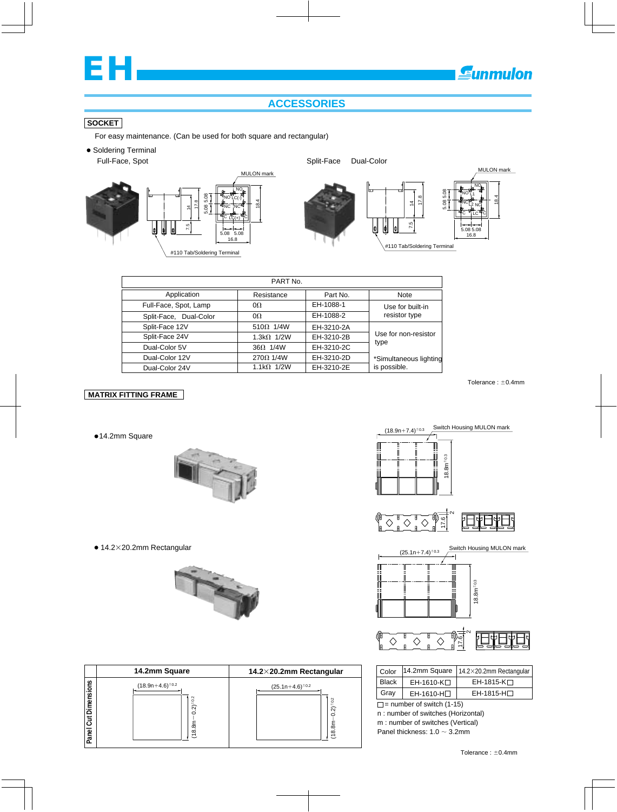

## **ACCESSORIES**

## **SOCKET**

For easy maintenance. (Can be used for both square and rectangular)



| PART No.               |                    |            |                        |  |  |  |
|------------------------|--------------------|------------|------------------------|--|--|--|
| Application            | Resistance         | Part No.   | Note                   |  |  |  |
| Full-Face, Spot, Lamp  | $0\Omega$          | EH-1088-1  | Use for built-in       |  |  |  |
| Split-Face, Dual-Color | $\Omega$           | EH-1088-2  | resistor type          |  |  |  |
| Split-Face 12V         | $510\Omega$ 1/4W   | EH-3210-2A |                        |  |  |  |
| Split-Face 24V         | 1.3k $\Omega$ 1/2W | EH-3210-2B | Use for non-resistor   |  |  |  |
| Dual-Color 5V          | $36\Omega$ 1/4W    | EH-3210-2C | type                   |  |  |  |
| Dual-Color 12V         | $270\Omega$ 1/4W   | EH-3210-2D | *Simultaneous lighting |  |  |  |
| Dual-Color 24V         | $1.1k\Omega$ 1/2W  | EH-3210-2E | is possible.           |  |  |  |

## **MATRIX FITTING FRAME**

●14.2mm Square





|                           | 14.2mm Square                                                        | 14.2 $\times$ 20.2mm Rectangular       | Color        | 14.2mm Squa                                                                                         |
|---------------------------|----------------------------------------------------------------------|----------------------------------------|--------------|-----------------------------------------------------------------------------------------------------|
|                           | $(18.9n+4.6)^{\pm0.2}$                                               | $(25.1n+4.6)^{\pm0.2}$                 | <b>Black</b> | EH-1610-K                                                                                           |
|                           |                                                                      |                                        | Gray         | EH-1610-H                                                                                           |
| Dimensions<br>ļڱ<br>Panel | $\frac{2}{3}$<br>ର<br>C<br>∞<br>$\infty$<br>$\overline{\phantom{0}}$ | $\widehat{\mathcal{N}}$<br>ぁ<br>∞<br>こ |              | $\Box$ = number of switch<br>n: number of switche<br>m: number of switche<br>Panel thickness: 1.0 - |







#### $\sim$ H  $\mathbf{H}$  $\Diamond$  $\Diamond$  $\Diamond$ 17.6

| Color        |                        | 14.2mm Square   $14.2 \times 20.2$ mm Rectangular |
|--------------|------------------------|---------------------------------------------------|
| <b>Black</b> | EH-1610-K□             | $EH-1815-K$                                       |
| Gray         | EH-1610-H <sub>D</sub> | $EH-1815-H$                                       |

 $\Box$  = number of switch (1-15) Panel thickness:  $1.0 \sim 3.2$ mm n : number of switches (Horizontal) m : number of switches (Vertical)

Switch Housing MULON mark

Tolerance :  $\pm$ 0.4mm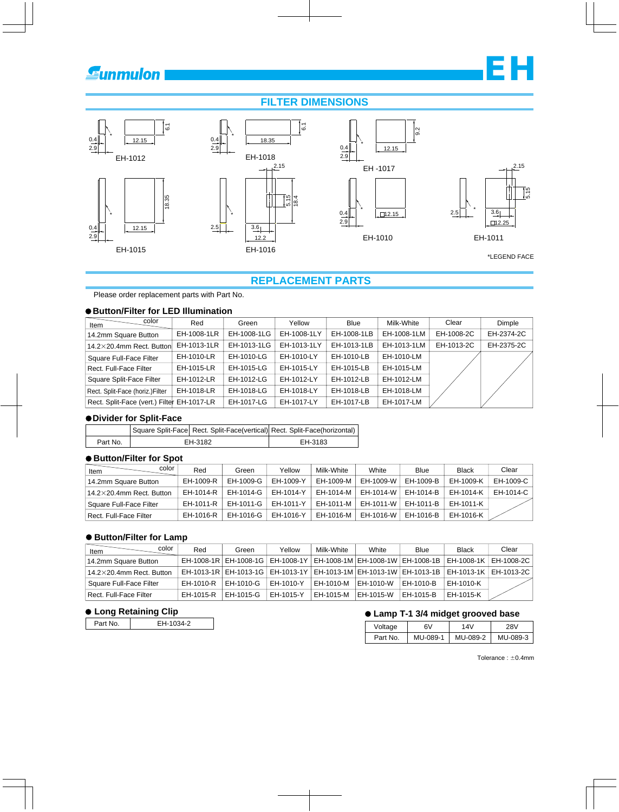## **Sunmulon**

## **FILTER DIMENSIONS**



## **REPLACEMENT PARTS**

Please order replacement parts with Part No.

## **Button/Filter for LED Illumination**

| color<br>Item                              | Red         | Green       | Yellow      | <b>Blue</b> | Milk-White  | Clear      | Dimple     |
|--------------------------------------------|-------------|-------------|-------------|-------------|-------------|------------|------------|
| 14.2mm Square Button                       | EH-1008-1LR | EH-1008-1LG | EH-1008-1LY | EH-1008-1LB | EH-1008-1LM | EH-1008-2C | EH-2374-2C |
| 14.2 $\times$ 20.4mm Rect. Button          | EH-1013-1LR | EH-1013-1LG | EH-1013-1LY | EH-1013-1LB | EH-1013-1LM | EH-1013-2C | EH-2375-2C |
| Square Full-Face Filter                    | EH-1010-LR  | EH-1010-LG  | EH-1010-LY  | EH-1010-LB  | EH-1010-LM  |            |            |
| Rect. Full-Face Filter                     | EH-1015-LR  | EH-1015-LG  | EH-1015-LY  | EH-1015-LB  | EH-1015-LM  |            |            |
| Square Split-Face Filter                   | EH-1012-LR  | EH-1012-LG  | EH-1012-LY  | EH-1012-LB  | EH-1012-LM  |            |            |
| Rect. Split-Face (horiz.)Filter            | EH-1018-LR  | EH-1018-LG  | EH-1018-LY  | EH-1018-LB  | EH-1018-LM  |            |            |
| Rect. Split-Face (vert.) Filter EH-1017-LR |             | EH-1017-LG  | EH-1017-LY  | EH-1017-LB  | EH-1017-LM  |            |            |

#### **Divider for Split-Face**

|          | Square Split-Face Rect. Split-Face(vertical) Rect. Split-Face(horizontal) |         |
|----------|---------------------------------------------------------------------------|---------|
| Part No. | EH-3182                                                                   | EH-3183 |

#### **Button/Filter for Spot**

| color<br>Item                    | Red       | Green     | Yellow    | Milk-White | White     | Blue      | <b>Black</b> | Clear     |
|----------------------------------|-----------|-----------|-----------|------------|-----------|-----------|--------------|-----------|
| 14.2mm Square Button             | EH-1009-R | EH-1009-G | EH-1009-Y | EH-1009-M  | EH-1009-W | EH-1009-B | EH-1009-K    | EH-1009-C |
| $14.2\times20.4$ mm Rect. Button | EH-1014-R | EH-1014-G | EH-1014-Y | EH-1014-M  | EH-1014-W | EH-1014-B | EH-1014-K    | EH-1014-C |
| Square Full-Face Filter          | EH-1011-R | EH-1011-G | EH-1011-Y | EH-1011-M  | EH-1011-W | EH-1011-B | EH-1011-K    |           |
| Rect. Full-Face Filter           | EH-1016-R | EH-1016-G | EH-1016-Y | EH-1016-M  | EH-1016-W | EH-1016-B | EH-1016-K    |           |

## **Button/Filter for Lamp**

| color<br>Item                    | Red       | Green     | Yellow    | Milk-White | White       | Blue        | <b>Black</b>                                                                                          | Clear |
|----------------------------------|-----------|-----------|-----------|------------|-------------|-------------|-------------------------------------------------------------------------------------------------------|-------|
| 14.2mm Square Button             |           |           |           |            |             |             | EH-1008-1R   EH-1008-1G   EH-1008-1Y   EH-1008-1M   EH-1008-1W   EH-1008-1B   EH-1008-1K   EH-1008-2C |       |
| $14.2\times20.4$ mm Rect. Button |           |           |           |            |             |             | EH-1013-1R   EH-1013-1G   EH-1013-1Y   EH-1013-1M   EH-1013-1W   EH-1013-1B   EH-1013-1K   EH-1013-2C |       |
| Square Full-Face Filter          | EH-1010-R | EH-1010-G | EH-1010-Y | EH-1010-M  | IEH-1010-W  | l EH-1010-B | EH-1010-K                                                                                             |       |
| Rect. Full-Face Filter           | EH-1015-R | EH-1015-G | EH-1015-Y | EH-1015-M  | I EH-1015-W | EH-1015-B   | EH-1015-K                                                                                             |       |

| Part No. | EH-1034-2 |
|----------|-----------|
|----------|-----------|

## ● Long Retaining Clip<br>
■ Lamp T-1 3/4 midget grooved base

| Voltage  | 6V       | 14V      | 28V      |
|----------|----------|----------|----------|
| Part No. | MU-089-1 | MU-089-2 | MU-089-3 |

Tolerance :  $\pm$ 0.4mm

**EH**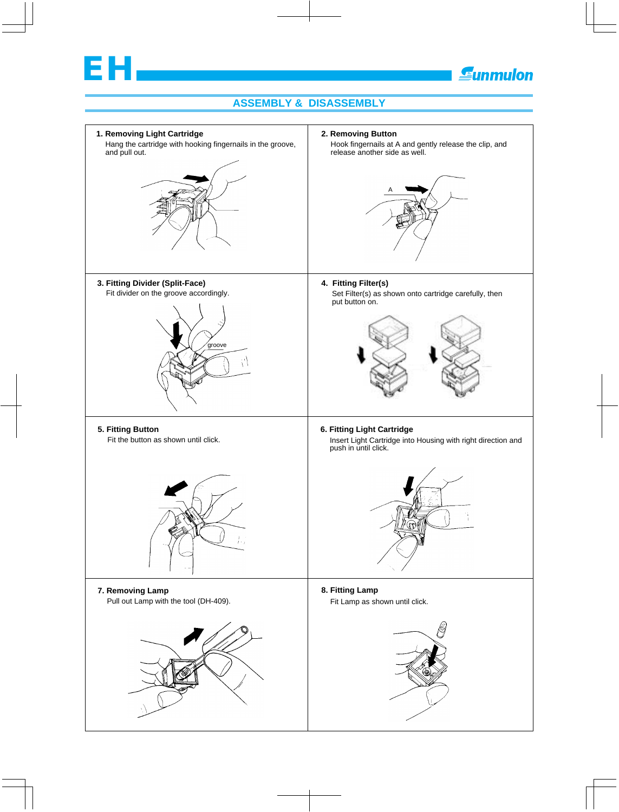

## **Gunmulon**

## **ASSEMBLY & DISASSEMBLY**

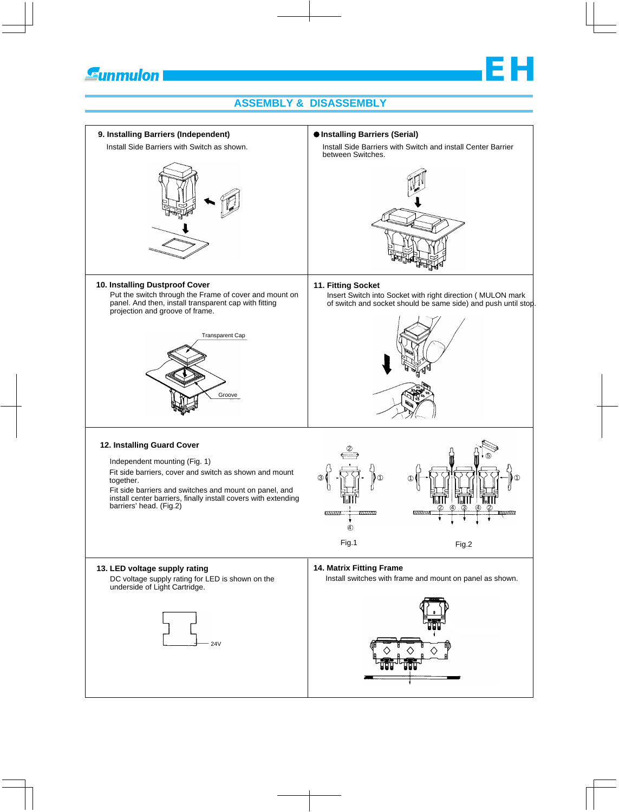

## **ASSEMBLY & DISASSEMBLY**

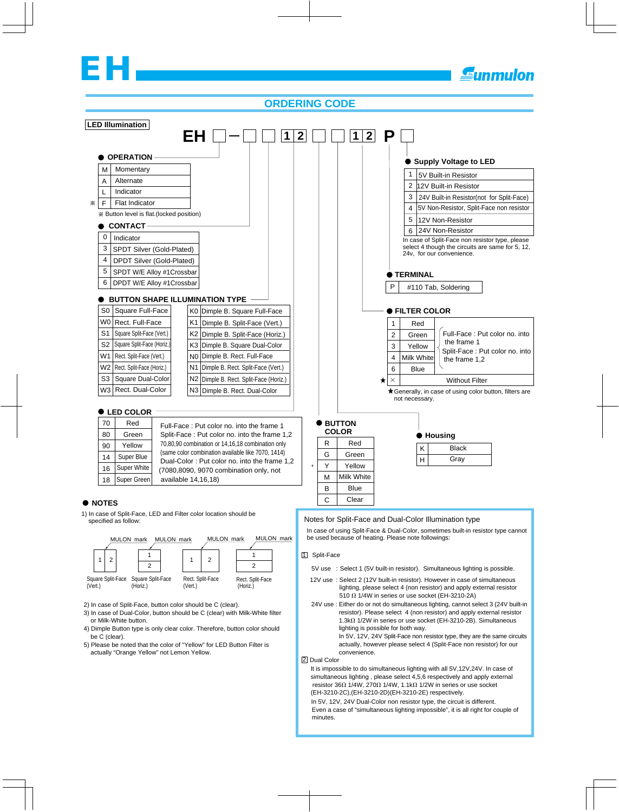# **EH**

## **ORDERING CODE**



It is impossible to do simultaneous lighting with all 5V,12V,24V. In case of simultaneous lighting , please select 4,5,6 respectively and apply external resistor 36 $\Omega$  1/4W, 270 $\Omega$  1/4W, 1.1k $\Omega$  1/2W in series or use socket (EH-3210-2C),(EH-3210-2D)(EH-3210-2E) respectively.

Even a case of "simultaneous lighting impossible", it is all right for couple of minutes. In 5V, 12V, 24V Dual-Color non resistor type, the circuit is different.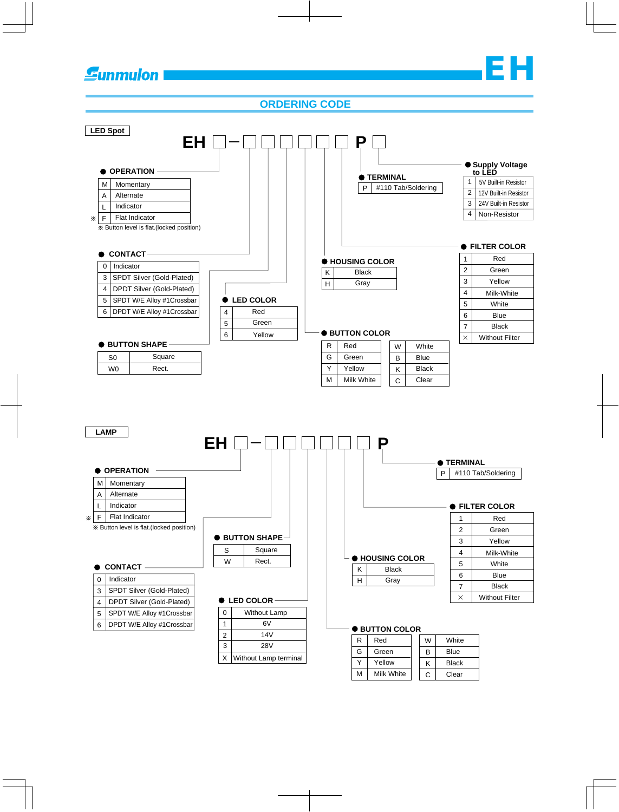## **Gunmulon**

## **ORDERING CODE**

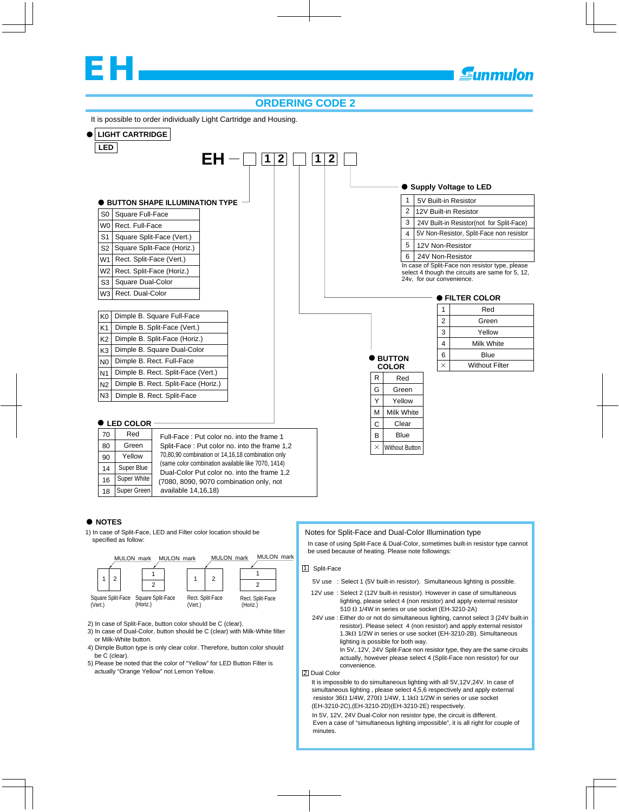## **EH**

**Eunmulon** 

## **ORDERING CODE 2**

It is possible to order individually Light Cartridge and Housing.



2) In case of Split-Face, button color should be C (clear).

(Horiz.)

(Vert.)

3) In case of Dual-Color, button should be C (clear) with Milk-White filter or Milk-White button.

(Vert.)

(Horiz.)

- 4) Dimple Button type is only clear color. Therefore, button color should be C (clear).
- 5) Please be noted that the color of "Yellow" for LED Button Filter is actually "Orange Yellow" not Lemon Yellow.

12V use : Select 2 (12V built-in resistor). However in case of simultaneous

- lighting, please select 4 (non resistor) and apply external resistor 510  $\Omega$  1/4W in series or use socket (EH-3210-2A)
- 24V use : Either do or not do simultaneous lighting, cannot select 3 (24V built-in resistor). Please select 4 (non resistor) and apply external resistor 1.3k $\Omega$  1/2W in series or use socket (EH-3210-2B). Simultaneous lighting is possible for both way.

 In 5V, 12V, 24V Split-Face non resistor type, they are the same circuits actually, however please select 4 (Split-Face non resistor) for our convenience.

2 Dual Color

It is impossible to do simultaneous lighting with all 5V,12V,24V. In case of simultaneous lighting , please select 4,5,6 respectively and apply external resistor 36 $\Omega$  1/4W, 270 $\Omega$  1/4W, 1.1k $\Omega$  1/2W in series or use socket (EH-3210-2C),(EH-3210-2D)(EH-3210-2E) respectively.

Even a case of "simultaneous lighting impossible", it is all right for couple of minutes. In 5V, 12V, 24V Dual-Color non resistor type, the circuit is different.